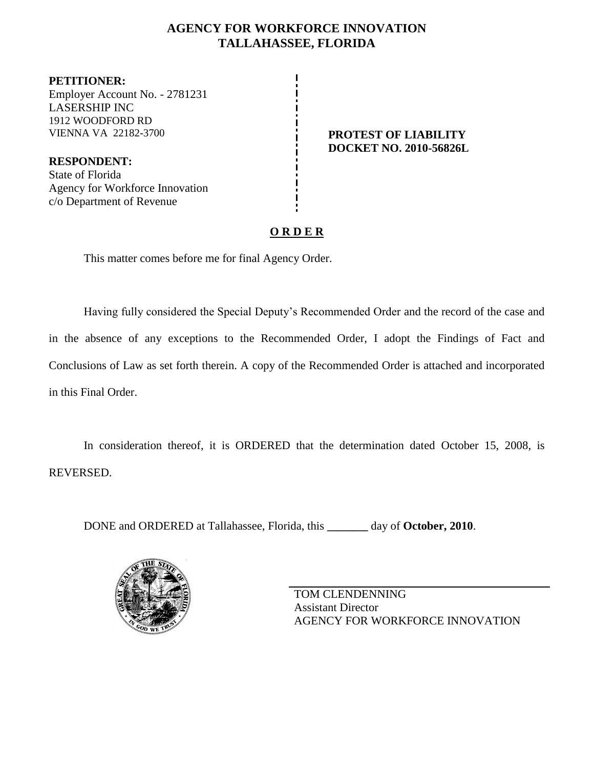# **AGENCY FOR WORKFORCE INNOVATION TALLAHASSEE, FLORIDA**

**PETITIONER:** Employer Account No. - 2781231 LASERSHIP INC 1912 WOODFORD RD VIENNA VA 22182-3700 **PROTEST OF LIABILITY**

**RESPONDENT:** State of Florida Agency for Workforce Innovation c/o Department of Revenue

# **DOCKET NO. 2010-56826L**

# **O R D E R**

This matter comes before me for final Agency Order.

Having fully considered the Special Deputy's Recommended Order and the record of the case and in the absence of any exceptions to the Recommended Order, I adopt the Findings of Fact and Conclusions of Law as set forth therein. A copy of the Recommended Order is attached and incorporated in this Final Order.

In consideration thereof, it is ORDERED that the determination dated October 15, 2008, is REVERSED.

DONE and ORDERED at Tallahassee, Florida, this **\_\_\_\_\_\_\_** day of **October, 2010**.



TOM CLENDENNING Assistant Director AGENCY FOR WORKFORCE INNOVATION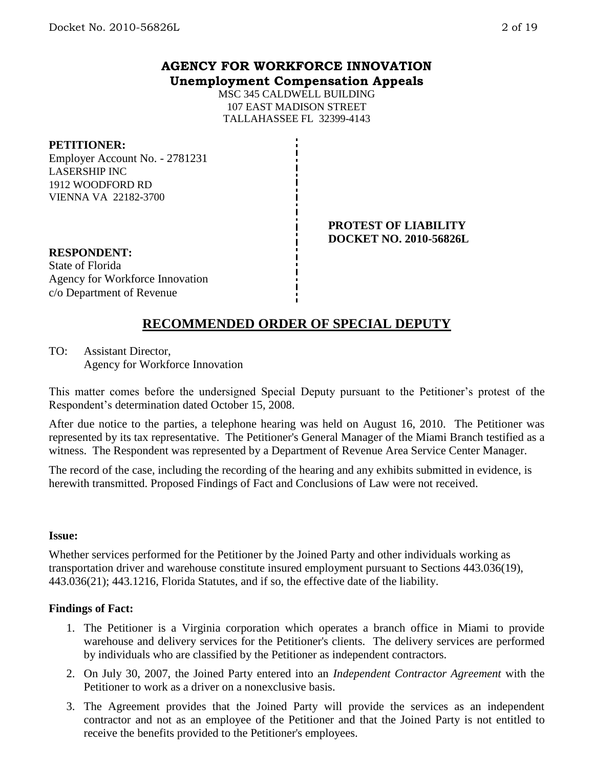## **AGENCY FOR WORKFORCE INNOVATION Unemployment Compensation Appeals**

MSC 345 CALDWELL BUILDING 107 EAST MADISON STREET TALLAHASSEE FL 32399-4143

### **PETITIONER:**

Employer Account No. - 2781231 LASERSHIP INC 1912 WOODFORD RD VIENNA VA 22182-3700

> **PROTEST OF LIABILITY DOCKET NO. 2010-56826L**

### **RESPONDENT:**

State of Florida Agency for Workforce Innovation c/o Department of Revenue

# **RECOMMENDED ORDER OF SPECIAL DEPUTY**

TO: Assistant Director,

Agency for Workforce Innovation

This matter comes before the undersigned Special Deputy pursuant to the Petitioner's protest of the Respondent's determination dated October 15, 2008.

After due notice to the parties, a telephone hearing was held on August 16, 2010. The Petitioner was represented by its tax representative. The Petitioner's General Manager of the Miami Branch testified as a witness. The Respondent was represented by a Department of Revenue Area Service Center Manager.

The record of the case, including the recording of the hearing and any exhibits submitted in evidence, is herewith transmitted. Proposed Findings of Fact and Conclusions of Law were not received.

### **Issue:**

Whether services performed for the Petitioner by the Joined Party and other individuals working as transportation driver and warehouse constitute insured employment pursuant to Sections 443.036(19), 443.036(21); 443.1216, Florida Statutes, and if so, the effective date of the liability.

## **Findings of Fact:**

- 1. The Petitioner is a Virginia corporation which operates a branch office in Miami to provide warehouse and delivery services for the Petitioner's clients. The delivery services are performed by individuals who are classified by the Petitioner as independent contractors.
- 2. On July 30, 2007, the Joined Party entered into an *Independent Contractor Agreement* with the Petitioner to work as a driver on a nonexclusive basis.
- 3. The Agreement provides that the Joined Party will provide the services as an independent contractor and not as an employee of the Petitioner and that the Joined Party is not entitled to receive the benefits provided to the Petitioner's employees.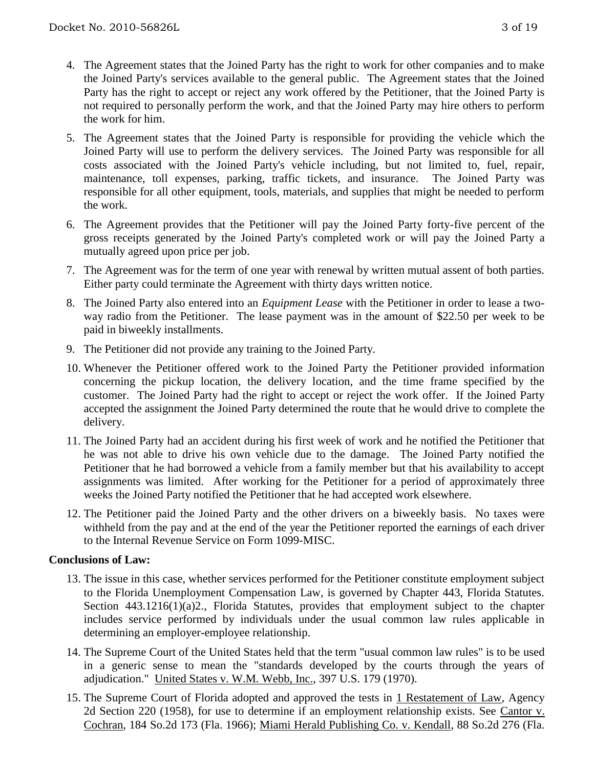- 4. The Agreement states that the Joined Party has the right to work for other companies and to make the Joined Party's services available to the general public. The Agreement states that the Joined Party has the right to accept or reject any work offered by the Petitioner, that the Joined Party is not required to personally perform the work, and that the Joined Party may hire others to perform the work for him.
- 5. The Agreement states that the Joined Party is responsible for providing the vehicle which the Joined Party will use to perform the delivery services. The Joined Party was responsible for all costs associated with the Joined Party's vehicle including, but not limited to, fuel, repair, maintenance, toll expenses, parking, traffic tickets, and insurance. The Joined Party was responsible for all other equipment, tools, materials, and supplies that might be needed to perform the work.
- 6. The Agreement provides that the Petitioner will pay the Joined Party forty-five percent of the gross receipts generated by the Joined Party's completed work or will pay the Joined Party a mutually agreed upon price per job.
- 7. The Agreement was for the term of one year with renewal by written mutual assent of both parties. Either party could terminate the Agreement with thirty days written notice.
- 8. The Joined Party also entered into an *Equipment Lease* with the Petitioner in order to lease a twoway radio from the Petitioner. The lease payment was in the amount of \$22.50 per week to be paid in biweekly installments.
- 9. The Petitioner did not provide any training to the Joined Party.
- 10. Whenever the Petitioner offered work to the Joined Party the Petitioner provided information concerning the pickup location, the delivery location, and the time frame specified by the customer. The Joined Party had the right to accept or reject the work offer. If the Joined Party accepted the assignment the Joined Party determined the route that he would drive to complete the delivery.
- 11. The Joined Party had an accident during his first week of work and he notified the Petitioner that he was not able to drive his own vehicle due to the damage. The Joined Party notified the Petitioner that he had borrowed a vehicle from a family member but that his availability to accept assignments was limited. After working for the Petitioner for a period of approximately three weeks the Joined Party notified the Petitioner that he had accepted work elsewhere.
- 12. The Petitioner paid the Joined Party and the other drivers on a biweekly basis. No taxes were withheld from the pay and at the end of the year the Petitioner reported the earnings of each driver to the Internal Revenue Service on Form 1099-MISC.

# **Conclusions of Law:**

- 13. The issue in this case, whether services performed for the Petitioner constitute employment subject to the Florida Unemployment Compensation Law, is governed by Chapter 443, Florida Statutes. Section 443.1216(1)(a)2., Florida Statutes, provides that employment subject to the chapter includes service performed by individuals under the usual common law rules applicable in determining an employer-employee relationship.
- 14. The Supreme Court of the United States held that the term "usual common law rules" is to be used in a generic sense to mean the "standards developed by the courts through the years of adjudication." United States v. W.M. Webb, Inc., 397 U.S. 179 (1970).
- 15. The Supreme Court of Florida adopted and approved the tests in 1 Restatement of Law, Agency 2d Section 220 (1958), for use to determine if an employment relationship exists. See Cantor v. Cochran, 184 So.2d 173 (Fla. 1966); Miami Herald Publishing Co. v. Kendall, 88 So.2d 276 (Fla.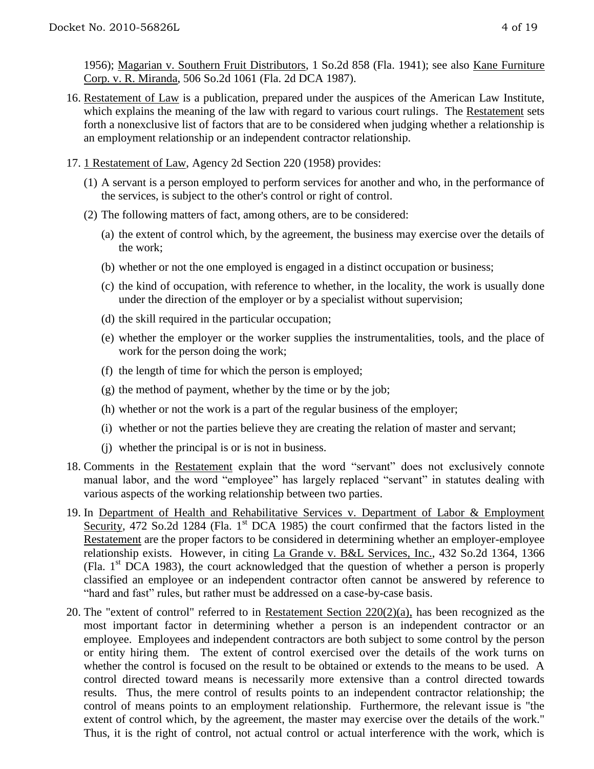1956); Magarian v. Southern Fruit Distributors, 1 So.2d 858 (Fla. 1941); see also Kane Furniture Corp. v. R. Miranda, 506 So.2d 1061 (Fla. 2d DCA 1987).

- 16. Restatement of Law is a publication, prepared under the auspices of the American Law Institute, which explains the meaning of the law with regard to various court rulings. The Restatement sets forth a nonexclusive list of factors that are to be considered when judging whether a relationship is an employment relationship or an independent contractor relationship.
- 17. 1 Restatement of Law, Agency 2d Section 220 (1958) provides:
	- (1) A servant is a person employed to perform services for another and who, in the performance of the services, is subject to the other's control or right of control.
	- (2) The following matters of fact, among others, are to be considered:
		- (a) the extent of control which, by the agreement, the business may exercise over the details of the work;
		- (b) whether or not the one employed is engaged in a distinct occupation or business;
		- (c) the kind of occupation, with reference to whether, in the locality, the work is usually done under the direction of the employer or by a specialist without supervision;
		- (d) the skill required in the particular occupation;
		- (e) whether the employer or the worker supplies the instrumentalities, tools, and the place of work for the person doing the work;
		- (f) the length of time for which the person is employed;
		- (g) the method of payment, whether by the time or by the job;
		- (h) whether or not the work is a part of the regular business of the employer;
		- (i) whether or not the parties believe they are creating the relation of master and servant;
		- (j) whether the principal is or is not in business.
- 18. Comments in the Restatement explain that the word "servant" does not exclusively connote manual labor, and the word "employee" has largely replaced "servant" in statutes dealing with various aspects of the working relationship between two parties.
- 19. In Department of Health and Rehabilitative Services v. Department of Labor & Employment Security, 472 So.2d 1284 (Fla.  $1<sup>st</sup>$  DCA 1985) the court confirmed that the factors listed in the Restatement are the proper factors to be considered in determining whether an employer-employee relationship exists. However, in citing La Grande v. B&L Services, Inc., 432 So.2d 1364, 1366 (Fla.  $1<sup>st</sup> DCA$  1983), the court acknowledged that the question of whether a person is properly classified an employee or an independent contractor often cannot be answered by reference to "hard and fast" rules, but rather must be addressed on a case-by-case basis.
- 20. The "extent of control" referred to in Restatement Section  $220(2)(a)$ , has been recognized as the most important factor in determining whether a person is an independent contractor or an employee. Employees and independent contractors are both subject to some control by the person or entity hiring them. The extent of control exercised over the details of the work turns on whether the control is focused on the result to be obtained or extends to the means to be used. A control directed toward means is necessarily more extensive than a control directed towards results. Thus, the mere control of results points to an independent contractor relationship; the control of means points to an employment relationship. Furthermore, the relevant issue is "the extent of control which, by the agreement, the master may exercise over the details of the work." Thus, it is the right of control, not actual control or actual interference with the work, which is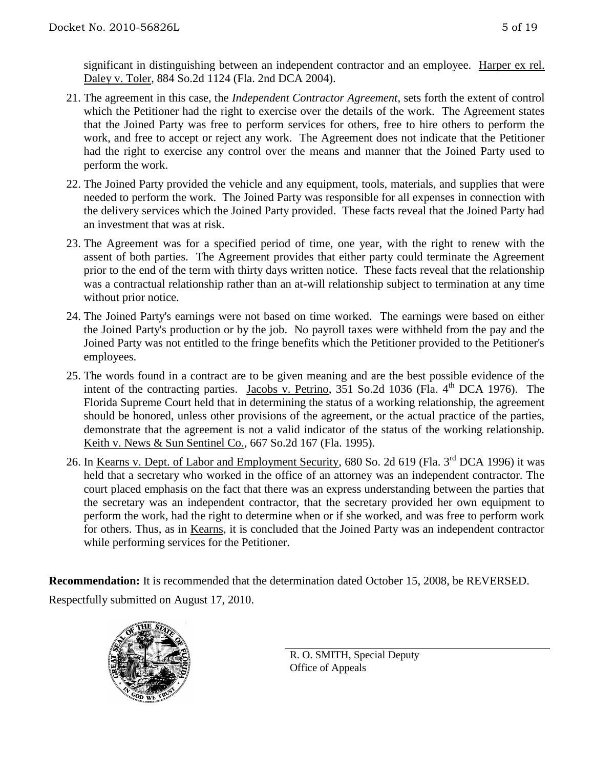significant in distinguishing between an independent contractor and an employee. Harper ex rel. Daley v. Toler, 884 So.2d 1124 (Fla. 2nd DCA 2004).

- 21. The agreement in this case, the *Independent Contractor Agreement*, sets forth the extent of control which the Petitioner had the right to exercise over the details of the work. The Agreement states that the Joined Party was free to perform services for others, free to hire others to perform the work, and free to accept or reject any work. The Agreement does not indicate that the Petitioner had the right to exercise any control over the means and manner that the Joined Party used to perform the work.
- 22. The Joined Party provided the vehicle and any equipment, tools, materials, and supplies that were needed to perform the work. The Joined Party was responsible for all expenses in connection with the delivery services which the Joined Party provided. These facts reveal that the Joined Party had an investment that was at risk.
- 23. The Agreement was for a specified period of time, one year, with the right to renew with the assent of both parties. The Agreement provides that either party could terminate the Agreement prior to the end of the term with thirty days written notice. These facts reveal that the relationship was a contractual relationship rather than an at-will relationship subject to termination at any time without prior notice.
- 24. The Joined Party's earnings were not based on time worked. The earnings were based on either the Joined Party's production or by the job. No payroll taxes were withheld from the pay and the Joined Party was not entitled to the fringe benefits which the Petitioner provided to the Petitioner's employees.
- 25. The words found in a contract are to be given meaning and are the best possible evidence of the intent of the contracting parties. Jacobs v. Petrino, 351 So.2d 1036 (Fla. 4<sup>th</sup> DCA 1976). The Florida Supreme Court held that in determining the status of a working relationship, the agreement should be honored, unless other provisions of the agreement, or the actual practice of the parties, demonstrate that the agreement is not a valid indicator of the status of the working relationship. Keith v. News & Sun Sentinel Co., 667 So.2d 167 (Fla. 1995).
- 26. In <u>Kearns v. Dept. of Labor and Employment Security</u>, 680 So. 2d 619 (Fla. 3<sup>rd</sup> DCA 1996) it was held that a secretary who worked in the office of an attorney was an independent contractor. The court placed emphasis on the fact that there was an express understanding between the parties that the secretary was an independent contractor, that the secretary provided her own equipment to perform the work, had the right to determine when or if she worked, and was free to perform work for others. Thus, as in Kearns, it is concluded that the Joined Party was an independent contractor while performing services for the Petitioner.

**Recommendation:** It is recommended that the determination dated October 15, 2008, be REVERSED. Respectfully submitted on August 17, 2010.



R. O. SMITH, Special Deputy Office of Appeals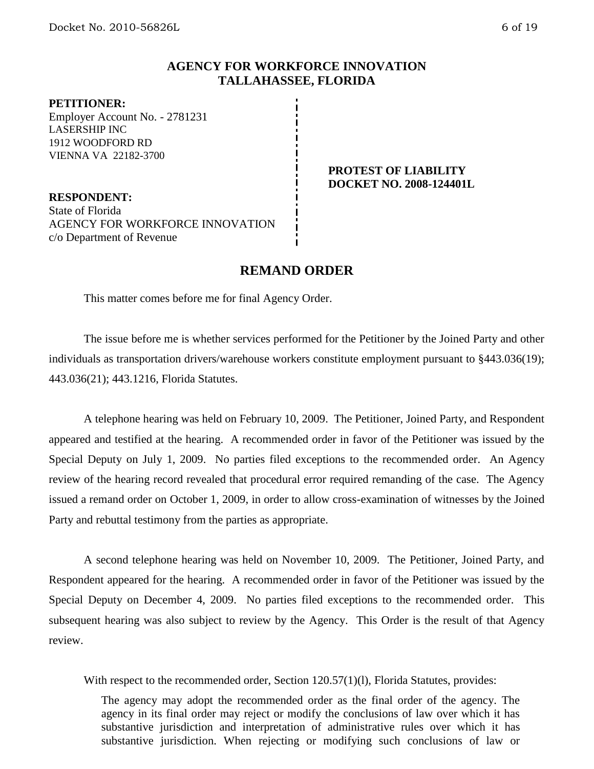## **AGENCY FOR WORKFORCE INNOVATION TALLAHASSEE, FLORIDA**

#### **PETITIONER:**

Employer Account No. - 2781231 LASERSHIP INC 1912 WOODFORD RD VIENNA VA 22182-3700

> **PROTEST OF LIABILITY DOCKET NO. 2008-124401L**

**RESPONDENT:** State of Florida AGENCY FOR WORKFORCE INNOVATION c/o Department of Revenue

# **REMAND ORDER**

This matter comes before me for final Agency Order.

The issue before me is whether services performed for the Petitioner by the Joined Party and other individuals as transportation drivers/warehouse workers constitute employment pursuant to §443.036(19); 443.036(21); 443.1216, Florida Statutes.

A telephone hearing was held on February 10, 2009. The Petitioner, Joined Party, and Respondent appeared and testified at the hearing. A recommended order in favor of the Petitioner was issued by the Special Deputy on July 1, 2009. No parties filed exceptions to the recommended order. An Agency review of the hearing record revealed that procedural error required remanding of the case. The Agency issued a remand order on October 1, 2009, in order to allow cross-examination of witnesses by the Joined Party and rebuttal testimony from the parties as appropriate.

A second telephone hearing was held on November 10, 2009. The Petitioner, Joined Party, and Respondent appeared for the hearing. A recommended order in favor of the Petitioner was issued by the Special Deputy on December 4, 2009. No parties filed exceptions to the recommended order. This subsequent hearing was also subject to review by the Agency. This Order is the result of that Agency review.

With respect to the recommended order, Section 120.57(1)(1), Florida Statutes, provides:

The agency may adopt the recommended order as the final order of the agency. The agency in its final order may reject or modify the conclusions of law over which it has substantive jurisdiction and interpretation of administrative rules over which it has substantive jurisdiction. When rejecting or modifying such conclusions of law or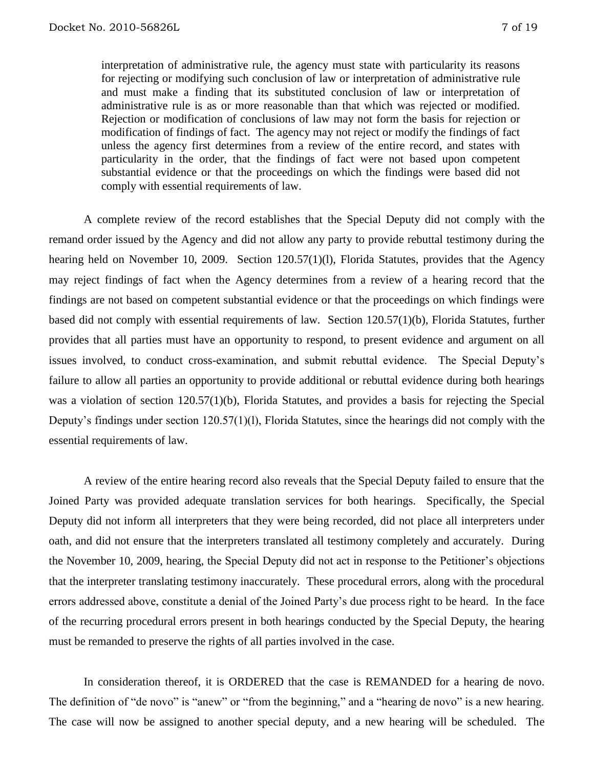interpretation of administrative rule, the agency must state with particularity its reasons for rejecting or modifying such conclusion of law or interpretation of administrative rule and must make a finding that its substituted conclusion of law or interpretation of administrative rule is as or more reasonable than that which was rejected or modified. Rejection or modification of conclusions of law may not form the basis for rejection or modification of findings of fact. The agency may not reject or modify the findings of fact unless the agency first determines from a review of the entire record, and states with particularity in the order, that the findings of fact were not based upon competent substantial evidence or that the proceedings on which the findings were based did not comply with essential requirements of law.

A complete review of the record establishes that the Special Deputy did not comply with the remand order issued by the Agency and did not allow any party to provide rebuttal testimony during the hearing held on November 10, 2009. Section 120.57(1)(1), Florida Statutes, provides that the Agency may reject findings of fact when the Agency determines from a review of a hearing record that the findings are not based on competent substantial evidence or that the proceedings on which findings were based did not comply with essential requirements of law. Section 120.57(1)(b), Florida Statutes, further provides that all parties must have an opportunity to respond, to present evidence and argument on all issues involved, to conduct cross-examination, and submit rebuttal evidence. The Special Deputy's failure to allow all parties an opportunity to provide additional or rebuttal evidence during both hearings was a violation of section 120.57(1)(b), Florida Statutes, and provides a basis for rejecting the Special Deputy's findings under section 120.57(1)(l), Florida Statutes, since the hearings did not comply with the essential requirements of law.

A review of the entire hearing record also reveals that the Special Deputy failed to ensure that the Joined Party was provided adequate translation services for both hearings. Specifically, the Special Deputy did not inform all interpreters that they were being recorded, did not place all interpreters under oath, and did not ensure that the interpreters translated all testimony completely and accurately. During the November 10, 2009, hearing, the Special Deputy did not act in response to the Petitioner's objections that the interpreter translating testimony inaccurately. These procedural errors, along with the procedural errors addressed above, constitute a denial of the Joined Party's due process right to be heard. In the face of the recurring procedural errors present in both hearings conducted by the Special Deputy, the hearing must be remanded to preserve the rights of all parties involved in the case.

In consideration thereof, it is ORDERED that the case is REMANDED for a hearing de novo. The definition of "de novo" is "anew" or "from the beginning," and a "hearing de novo" is a new hearing. The case will now be assigned to another special deputy, and a new hearing will be scheduled. The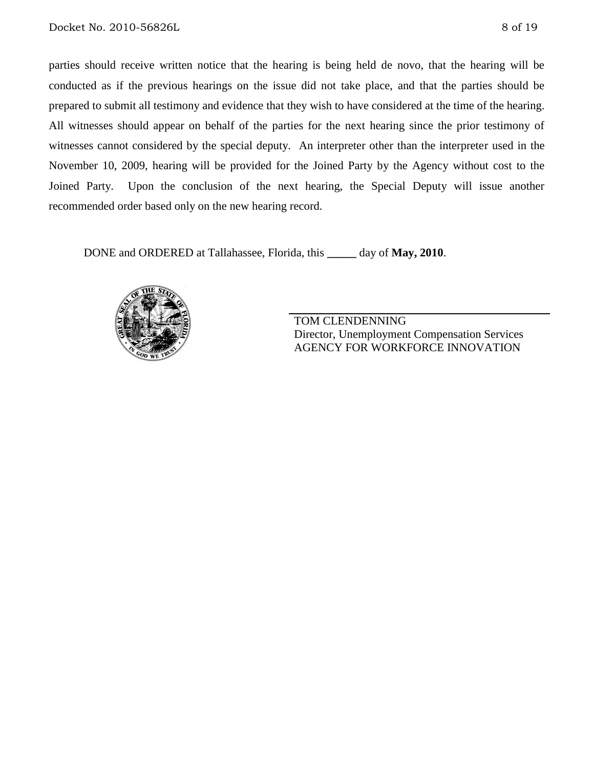parties should receive written notice that the hearing is being held de novo, that the hearing will be conducted as if the previous hearings on the issue did not take place, and that the parties should be prepared to submit all testimony and evidence that they wish to have considered at the time of the hearing. All witnesses should appear on behalf of the parties for the next hearing since the prior testimony of witnesses cannot considered by the special deputy. An interpreter other than the interpreter used in the November 10, 2009, hearing will be provided for the Joined Party by the Agency without cost to the Joined Party. Upon the conclusion of the next hearing, the Special Deputy will issue another recommended order based only on the new hearing record.

DONE and ORDERED at Tallahassee, Florida, this **\_\_\_\_\_** day of **May, 2010**.



TOM CLENDENNING Director, Unemployment Compensation Services AGENCY FOR WORKFORCE INNOVATION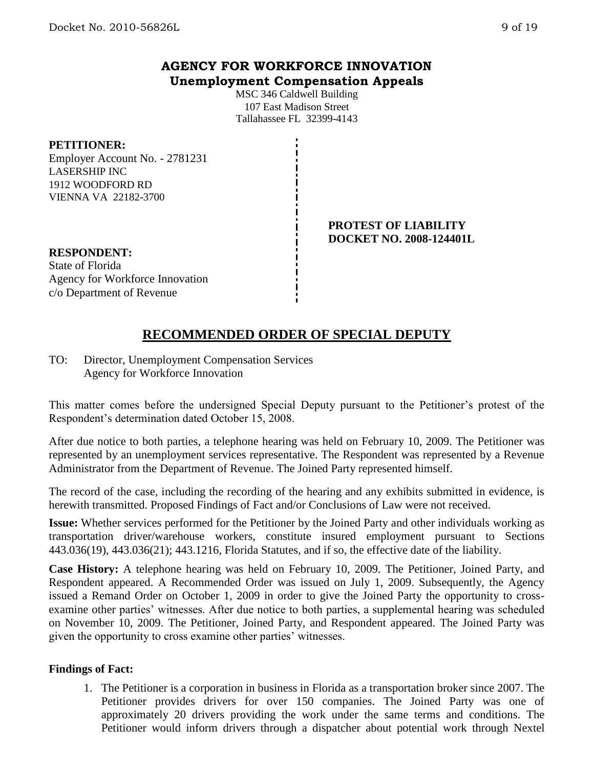# **AGENCY FOR WORKFORCE INNOVATION Unemployment Compensation Appeals**

MSC 346 Caldwell Building 107 East Madison Street Tallahassee FL 32399-4143

### **PETITIONER:**

Employer Account No. - 2781231 LASERSHIP INC 1912 WOODFORD RD VIENNA VA 22182-3700

> **PROTEST OF LIABILITY DOCKET NO. 2008-124401L**

### **RESPONDENT:**

State of Florida Agency for Workforce Innovation c/o Department of Revenue

# **RECOMMENDED ORDER OF SPECIAL DEPUTY**

TO: Director, Unemployment Compensation Services Agency for Workforce Innovation

This matter comes before the undersigned Special Deputy pursuant to the Petitioner's protest of the Respondent's determination dated October 15, 2008.

After due notice to both parties, a telephone hearing was held on February 10, 2009. The Petitioner was represented by an unemployment services representative. The Respondent was represented by a Revenue Administrator from the Department of Revenue. The Joined Party represented himself.

The record of the case, including the recording of the hearing and any exhibits submitted in evidence, is herewith transmitted. Proposed Findings of Fact and/or Conclusions of Law were not received.

**Issue:** Whether services performed for the Petitioner by the Joined Party and other individuals working as transportation driver/warehouse workers, constitute insured employment pursuant to Sections 443.036(19), 443.036(21); 443.1216, Florida Statutes, and if so, the effective date of the liability.

**Case History:** A telephone hearing was held on February 10, 2009. The Petitioner, Joined Party, and Respondent appeared. A Recommended Order was issued on July 1, 2009. Subsequently, the Agency issued a Remand Order on October 1, 2009 in order to give the Joined Party the opportunity to crossexamine other parties' witnesses. After due notice to both parties, a supplemental hearing was scheduled on November 10, 2009. The Petitioner, Joined Party, and Respondent appeared. The Joined Party was given the opportunity to cross examine other parties' witnesses.

## **Findings of Fact:**

1. The Petitioner is a corporation in business in Florida as a transportation broker since 2007. The Petitioner provides drivers for over 150 companies. The Joined Party was one of approximately 20 drivers providing the work under the same terms and conditions. The Petitioner would inform drivers through a dispatcher about potential work through Nextel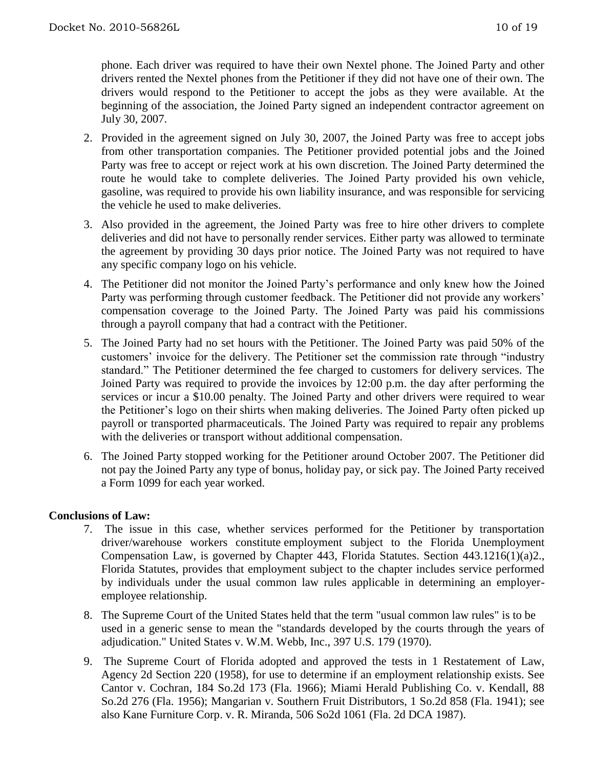phone. Each driver was required to have their own Nextel phone. The Joined Party and other drivers rented the Nextel phones from the Petitioner if they did not have one of their own. The drivers would respond to the Petitioner to accept the jobs as they were available. At the beginning of the association, the Joined Party signed an independent contractor agreement on July 30, 2007.

- 2. Provided in the agreement signed on July 30, 2007, the Joined Party was free to accept jobs from other transportation companies. The Petitioner provided potential jobs and the Joined Party was free to accept or reject work at his own discretion. The Joined Party determined the route he would take to complete deliveries. The Joined Party provided his own vehicle, gasoline, was required to provide his own liability insurance, and was responsible for servicing the vehicle he used to make deliveries.
- 3. Also provided in the agreement, the Joined Party was free to hire other drivers to complete deliveries and did not have to personally render services. Either party was allowed to terminate the agreement by providing 30 days prior notice. The Joined Party was not required to have any specific company logo on his vehicle.
- 4. The Petitioner did not monitor the Joined Party's performance and only knew how the Joined Party was performing through customer feedback. The Petitioner did not provide any workers' compensation coverage to the Joined Party. The Joined Party was paid his commissions through a payroll company that had a contract with the Petitioner.
- 5. The Joined Party had no set hours with the Petitioner. The Joined Party was paid 50% of the customers' invoice for the delivery. The Petitioner set the commission rate through "industry standard." The Petitioner determined the fee charged to customers for delivery services. The Joined Party was required to provide the invoices by 12:00 p.m. the day after performing the services or incur a \$10.00 penalty. The Joined Party and other drivers were required to wear the Petitioner's logo on their shirts when making deliveries. The Joined Party often picked up payroll or transported pharmaceuticals. The Joined Party was required to repair any problems with the deliveries or transport without additional compensation.
- 6. The Joined Party stopped working for the Petitioner around October 2007. The Petitioner did not pay the Joined Party any type of bonus, holiday pay, or sick pay. The Joined Party received a Form 1099 for each year worked.

### **Conclusions of Law:**

- 7. The issue in this case, whether services performed for the Petitioner by transportation driver/warehouse workers constitute employment subject to the Florida Unemployment Compensation Law, is governed by Chapter 443, Florida Statutes. Section 443.1216(1)(a)2., Florida Statutes, provides that employment subject to the chapter includes service performed by individuals under the usual common law rules applicable in determining an employeremployee relationship.
- 8. The Supreme Court of the United States held that the term "usual common law rules" is to be used in a generic sense to mean the "standards developed by the courts through the years of adjudication." United States v. W.M. Webb, Inc., 397 U.S. 179 (1970).
- 9. The Supreme Court of Florida adopted and approved the tests in 1 Restatement of Law, Agency 2d Section 220 (1958), for use to determine if an employment relationship exists. See Cantor v. Cochran, 184 So.2d 173 (Fla. 1966); Miami Herald Publishing Co. v. Kendall, 88 So.2d 276 (Fla. 1956); Mangarian v. Southern Fruit Distributors, 1 So.2d 858 (Fla. 1941); see also Kane Furniture Corp. v. R. Miranda, 506 So2d 1061 (Fla. 2d DCA 1987).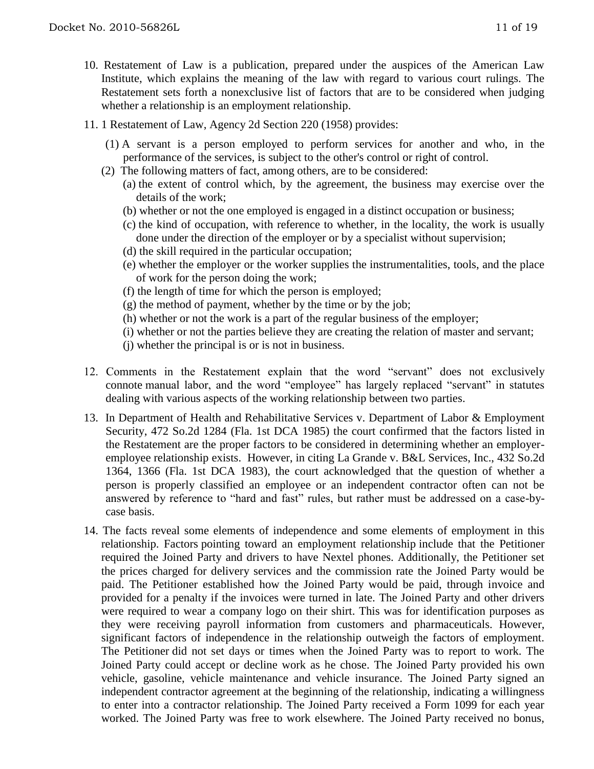- 10. Restatement of Law is a publication, prepared under the auspices of the American Law Institute, which explains the meaning of the law with regard to various court rulings. The Restatement sets forth a nonexclusive list of factors that are to be considered when judging whether a relationship is an employment relationship.
- 11. 1 Restatement of Law, Agency 2d Section 220 (1958) provides:
	- (1) A servant is a person employed to perform services for another and who, in the performance of the services, is subject to the other's control or right of control.
	- (2) The following matters of fact, among others, are to be considered:
		- (a) the extent of control which, by the agreement, the business may exercise over the details of the work;
		- (b) whether or not the one employed is engaged in a distinct occupation or business;
		- (c) the kind of occupation, with reference to whether, in the locality, the work is usually done under the direction of the employer or by a specialist without supervision;
		- (d) the skill required in the particular occupation;
		- (e) whether the employer or the worker supplies the instrumentalities, tools, and the place of work for the person doing the work;
		- (f) the length of time for which the person is employed;
		- $(g)$  the method of payment, whether by the time or by the job;
		- (h) whether or not the work is a part of the regular business of the employer;
		- (i) whether or not the parties believe they are creating the relation of master and servant;
		- (j) whether the principal is or is not in business.
- 12. Comments in the Restatement explain that the word "servant" does not exclusively connote manual labor, and the word "employee" has largely replaced "servant" in statutes dealing with various aspects of the working relationship between two parties.
- 13. In Department of Health and Rehabilitative Services v. Department of Labor & Employment Security, 472 So.2d 1284 (Fla. 1st DCA 1985) the court confirmed that the factors listed in the Restatement are the proper factors to be considered in determining whether an employeremployee relationship exists. However, in citing La Grande v. B&L Services, Inc., 432 So.2d 1364, 1366 (Fla. 1st DCA 1983), the court acknowledged that the question of whether a person is properly classified an employee or an independent contractor often can not be answered by reference to "hard and fast" rules, but rather must be addressed on a case-bycase basis.
- 14. The facts reveal some elements of independence and some elements of employment in this relationship. Factors pointing toward an employment relationship include that the Petitioner required the Joined Party and drivers to have Nextel phones. Additionally, the Petitioner set the prices charged for delivery services and the commission rate the Joined Party would be paid. The Petitioner established how the Joined Party would be paid, through invoice and provided for a penalty if the invoices were turned in late. The Joined Party and other drivers were required to wear a company logo on their shirt. This was for identification purposes as they were receiving payroll information from customers and pharmaceuticals. However, significant factors of independence in the relationship outweigh the factors of employment. The Petitioner did not set days or times when the Joined Party was to report to work. The Joined Party could accept or decline work as he chose. The Joined Party provided his own vehicle, gasoline, vehicle maintenance and vehicle insurance. The Joined Party signed an independent contractor agreement at the beginning of the relationship, indicating a willingness to enter into a contractor relationship. The Joined Party received a Form 1099 for each year worked. The Joined Party was free to work elsewhere. The Joined Party received no bonus,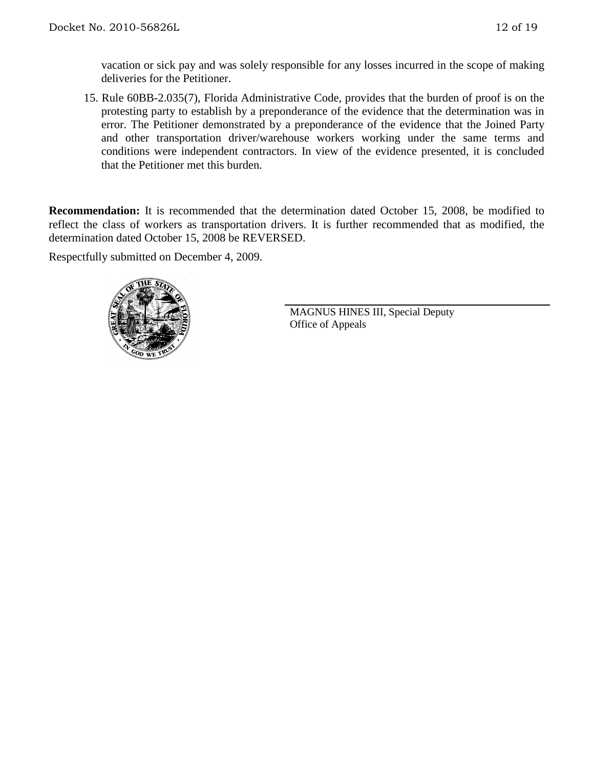vacation or sick pay and was solely responsible for any losses incurred in the scope of making deliveries for the Petitioner.

15. Rule 60BB-2.035(7), Florida Administrative Code, provides that the burden of proof is on the protesting party to establish by a preponderance of the evidence that the determination was in error. The Petitioner demonstrated by a preponderance of the evidence that the Joined Party and other transportation driver/warehouse workers working under the same terms and conditions were independent contractors. In view of the evidence presented, it is concluded that the Petitioner met this burden.

**Recommendation:** It is recommended that the determination dated October 15, 2008, be modified to reflect the class of workers as transportation drivers. It is further recommended that as modified, the determination dated October 15, 2008 be REVERSED.

Respectfully submitted on December 4, 2009.



MAGNUS HINES III, Special Deputy Office of Appeals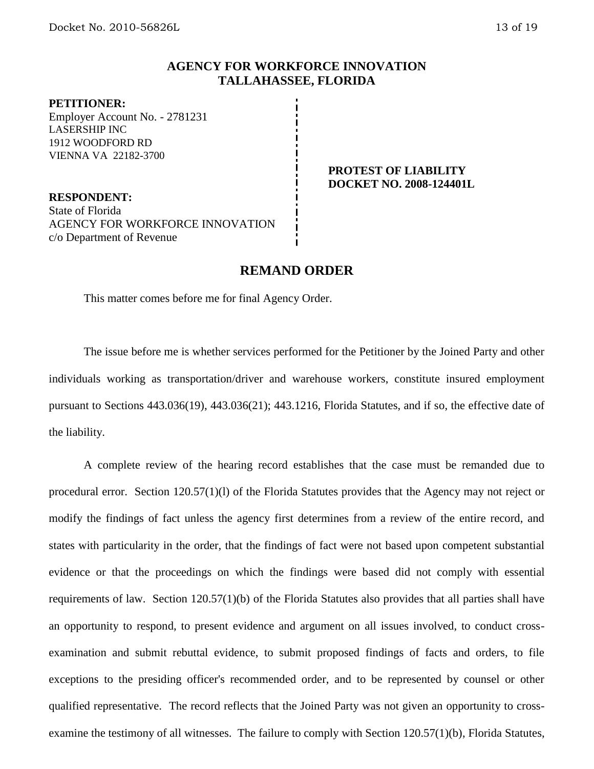## **AGENCY FOR WORKFORCE INNOVATION TALLAHASSEE, FLORIDA**

#### **PETITIONER:**

Employer Account No. - 2781231 LASERSHIP INC 1912 WOODFORD RD VIENNA VA 22182-3700

**RESPONDENT:** State of Florida AGENCY FOR WORKFORCE INNOVATION c/o Department of Revenue

#### **PROTEST OF LIABILITY DOCKET NO. 2008-124401L**

## **REMAND ORDER**

This matter comes before me for final Agency Order.

The issue before me is whether services performed for the Petitioner by the Joined Party and other individuals working as transportation/driver and warehouse workers, constitute insured employment pursuant to Sections 443.036(19), 443.036(21); 443.1216, Florida Statutes, and if so, the effective date of the liability.

A complete review of the hearing record establishes that the case must be remanded due to procedural error. Section 120.57(1)(l) of the Florida Statutes provides that the Agency may not reject or modify the findings of fact unless the agency first determines from a review of the entire record, and states with particularity in the order, that the findings of fact were not based upon competent substantial evidence or that the proceedings on which the findings were based did not comply with essential requirements of law. Section 120.57(1)(b) of the Florida Statutes also provides that all parties shall have an opportunity to respond, to present evidence and argument on all issues involved, to conduct crossexamination and submit rebuttal evidence, to submit proposed findings of facts and orders, to file exceptions to the presiding officer's recommended order, and to be represented by counsel or other qualified representative. The record reflects that the Joined Party was not given an opportunity to crossexamine the testimony of all witnesses. The failure to comply with Section 120.57(1)(b), Florida Statutes,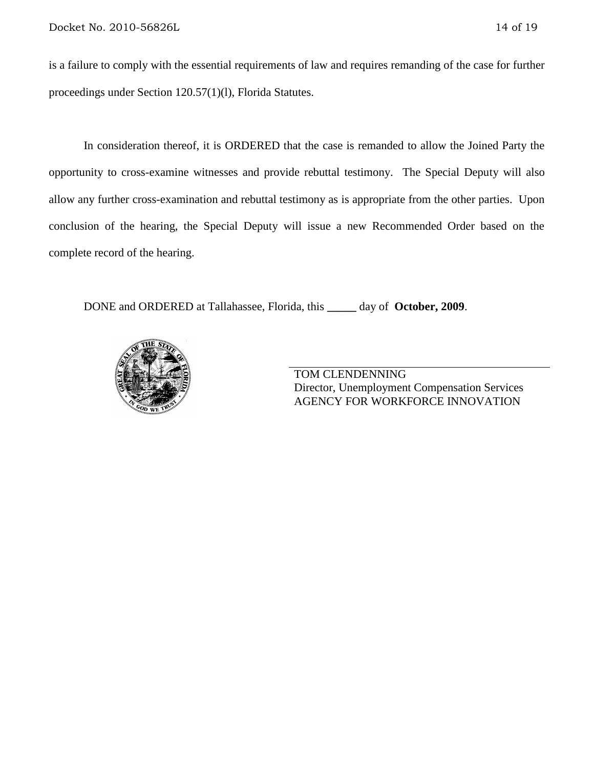is a failure to comply with the essential requirements of law and requires remanding of the case for further proceedings under Section 120.57(1)(l), Florida Statutes.

In consideration thereof, it is ORDERED that the case is remanded to allow the Joined Party the opportunity to cross-examine witnesses and provide rebuttal testimony. The Special Deputy will also allow any further cross-examination and rebuttal testimony as is appropriate from the other parties. Upon conclusion of the hearing, the Special Deputy will issue a new Recommended Order based on the complete record of the hearing.

DONE and ORDERED at Tallahassee, Florida, this **\_\_\_\_\_** day of **October, 2009**.



TOM CLENDENNING Director, Unemployment Compensation Services AGENCY FOR WORKFORCE INNOVATION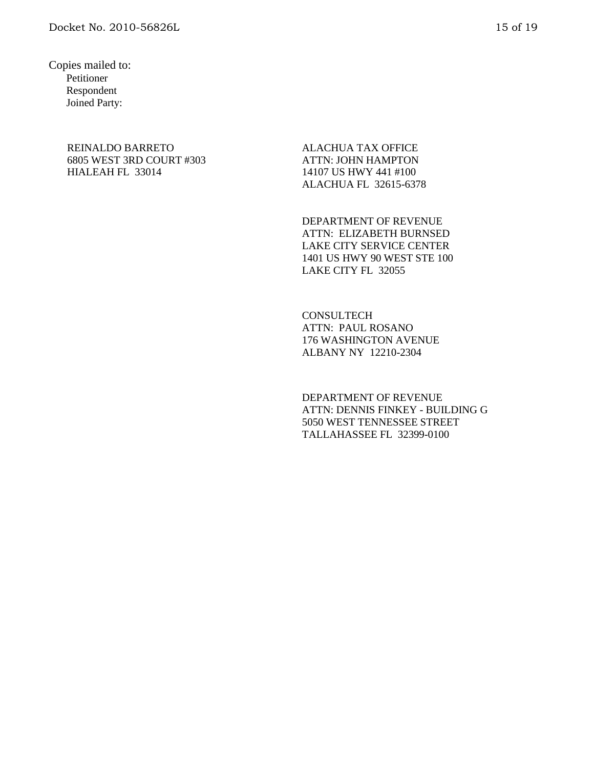Copies mailed to: Petitioner Respondent Joined Party:

#### REINALDO BARRETO 6805 WEST 3RD COURT #303 HIALEAH FL 33014

ALACHUA TAX OFFICE ATTN: JOHN HAMPTON 14107 US HWY 441 #100 ALACHUA FL 32615-6378

DEPARTMENT OF REVENUE ATTN: ELIZABETH BURNSED LAKE CITY SERVICE CENTER 1401 US HWY 90 WEST STE 100 LAKE CITY FL 32055

**CONSULTECH** ATTN: PAUL ROSANO 176 WASHINGTON AVENUE ALBANY NY 12210-2304

DEPARTMENT OF REVENUE ATTN: DENNIS FINKEY - BUILDING G 5050 WEST TENNESSEE STREET TALLAHASSEE FL 32399-0100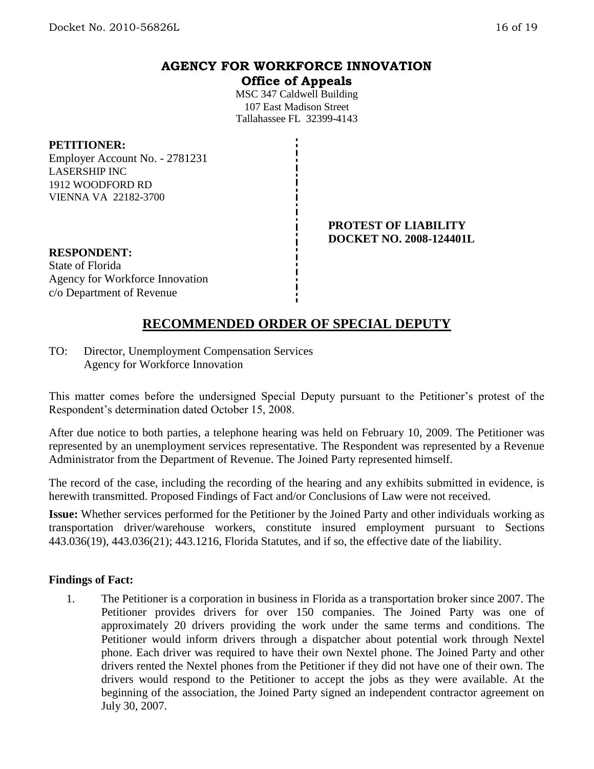# **AGENCY FOR WORKFORCE INNOVATION**

**Office of Appeals**

MSC 347 Caldwell Building 107 East Madison Street Tallahassee FL 32399-4143

### **PETITIONER:**

Employer Account No. - 2781231 LASERSHIP INC 1912 WOODFORD RD VIENNA VA 22182-3700

> **PROTEST OF LIABILITY DOCKET NO. 2008-124401L**

# **RESPONDENT:**

State of Florida Agency for Workforce Innovation c/o Department of Revenue

# **RECOMMENDED ORDER OF SPECIAL DEPUTY**

TO: Director, Unemployment Compensation Services Agency for Workforce Innovation

This matter comes before the undersigned Special Deputy pursuant to the Petitioner's protest of the Respondent's determination dated October 15, 2008.

After due notice to both parties, a telephone hearing was held on February 10, 2009. The Petitioner was represented by an unemployment services representative. The Respondent was represented by a Revenue Administrator from the Department of Revenue. The Joined Party represented himself.

The record of the case, including the recording of the hearing and any exhibits submitted in evidence, is herewith transmitted. Proposed Findings of Fact and/or Conclusions of Law were not received.

**Issue:** Whether services performed for the Petitioner by the Joined Party and other individuals working as transportation driver/warehouse workers, constitute insured employment pursuant to Sections 443.036(19), 443.036(21); 443.1216, Florida Statutes, and if so, the effective date of the liability.

### **Findings of Fact:**

1. The Petitioner is a corporation in business in Florida as a transportation broker since 2007. The Petitioner provides drivers for over 150 companies. The Joined Party was one of approximately 20 drivers providing the work under the same terms and conditions. The Petitioner would inform drivers through a dispatcher about potential work through Nextel phone. Each driver was required to have their own Nextel phone. The Joined Party and other drivers rented the Nextel phones from the Petitioner if they did not have one of their own. The drivers would respond to the Petitioner to accept the jobs as they were available. At the beginning of the association, the Joined Party signed an independent contractor agreement on July 30, 2007.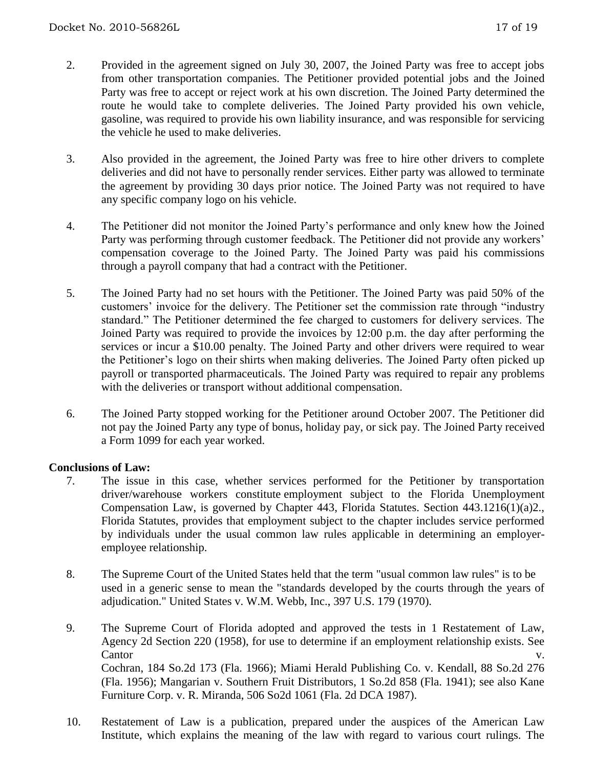- 2. Provided in the agreement signed on July 30, 2007, the Joined Party was free to accept jobs from other transportation companies. The Petitioner provided potential jobs and the Joined Party was free to accept or reject work at his own discretion. The Joined Party determined the route he would take to complete deliveries. The Joined Party provided his own vehicle, gasoline, was required to provide his own liability insurance, and was responsible for servicing the vehicle he used to make deliveries.
- 3. Also provided in the agreement, the Joined Party was free to hire other drivers to complete deliveries and did not have to personally render services. Either party was allowed to terminate the agreement by providing 30 days prior notice. The Joined Party was not required to have any specific company logo on his vehicle.
- 4. The Petitioner did not monitor the Joined Party's performance and only knew how the Joined Party was performing through customer feedback. The Petitioner did not provide any workers' compensation coverage to the Joined Party. The Joined Party was paid his commissions through a payroll company that had a contract with the Petitioner.
- 5. The Joined Party had no set hours with the Petitioner. The Joined Party was paid 50% of the customers' invoice for the delivery. The Petitioner set the commission rate through "industry standard." The Petitioner determined the fee charged to customers for delivery services. The Joined Party was required to provide the invoices by 12:00 p.m. the day after performing the services or incur a \$10.00 penalty. The Joined Party and other drivers were required to wear the Petitioner's logo on their shirts when making deliveries. The Joined Party often picked up payroll or transported pharmaceuticals. The Joined Party was required to repair any problems with the deliveries or transport without additional compensation.
- 6. The Joined Party stopped working for the Petitioner around October 2007. The Petitioner did not pay the Joined Party any type of bonus, holiday pay, or sick pay. The Joined Party received a Form 1099 for each year worked.

## **Conclusions of Law:**

- 7. The issue in this case, whether services performed for the Petitioner by transportation driver/warehouse workers constitute employment subject to the Florida Unemployment Compensation Law, is governed by Chapter 443, Florida Statutes. Section 443.1216(1)(a)2., Florida Statutes, provides that employment subject to the chapter includes service performed by individuals under the usual common law rules applicable in determining an employeremployee relationship.
- 8. The Supreme Court of the United States held that the term "usual common law rules" is to be used in a generic sense to mean the "standards developed by the courts through the years of adjudication." United States v. W.M. Webb, Inc., 397 U.S. 179 (1970).
- 9. The Supreme Court of Florida adopted and approved the tests in 1 Restatement of Law, Agency 2d Section 220 (1958), for use to determine if an employment relationship exists. See Cantor v. Cochran, 184 So.2d 173 (Fla. 1966); Miami Herald Publishing Co. v. Kendall, 88 So.2d 276 (Fla. 1956); Mangarian v. Southern Fruit Distributors, 1 So.2d 858 (Fla. 1941); see also Kane Furniture Corp. v. R. Miranda, 506 So2d 1061 (Fla. 2d DCA 1987).
- 10. Restatement of Law is a publication, prepared under the auspices of the American Law Institute, which explains the meaning of the law with regard to various court rulings. The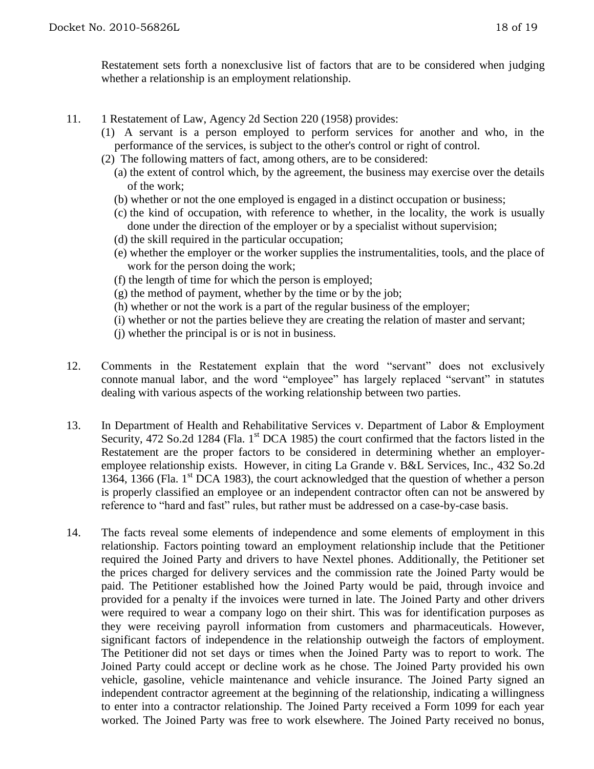- 11. 1 Restatement of Law, Agency 2d Section 220 (1958) provides:
	- (1) A servant is a person employed to perform services for another and who, in the performance of the services, is subject to the other's control or right of control.
	- (2) The following matters of fact, among others, are to be considered:
		- (a) the extent of control which, by the agreement, the business may exercise over the details of the work;
		- (b) whether or not the one employed is engaged in a distinct occupation or business;
		- (c) the kind of occupation, with reference to whether, in the locality, the work is usually done under the direction of the employer or by a specialist without supervision;
		- (d) the skill required in the particular occupation;
		- (e) whether the employer or the worker supplies the instrumentalities, tools, and the place of work for the person doing the work;
		- (f) the length of time for which the person is employed;
		- (g) the method of payment, whether by the time or by the job;
		- (h) whether or not the work is a part of the regular business of the employer;
		- (i) whether or not the parties believe they are creating the relation of master and servant;
		- (j) whether the principal is or is not in business.
- 12. Comments in the Restatement explain that the word "servant" does not exclusively connote manual labor, and the word "employee" has largely replaced "servant" in statutes dealing with various aspects of the working relationship between two parties.
- 13. In Department of Health and Rehabilitative Services v. Department of Labor & Employment Security, 472 So.2d 1284 (Fla. 1<sup>st</sup> DCA 1985) the court confirmed that the factors listed in the Restatement are the proper factors to be considered in determining whether an employeremployee relationship exists. However, in citing La Grande v. B&L Services, Inc., 432 So.2d 1364, 1366 (Fla. 1<sup>st</sup> DCA 1983), the court acknowledged that the question of whether a person is properly classified an employee or an independent contractor often can not be answered by reference to "hard and fast" rules, but rather must be addressed on a case-by-case basis.
- 14. The facts reveal some elements of independence and some elements of employment in this relationship. Factors pointing toward an employment relationship include that the Petitioner required the Joined Party and drivers to have Nextel phones. Additionally, the Petitioner set the prices charged for delivery services and the commission rate the Joined Party would be paid. The Petitioner established how the Joined Party would be paid, through invoice and provided for a penalty if the invoices were turned in late. The Joined Party and other drivers were required to wear a company logo on their shirt. This was for identification purposes as they were receiving payroll information from customers and pharmaceuticals. However, significant factors of independence in the relationship outweigh the factors of employment. The Petitioner did not set days or times when the Joined Party was to report to work. The Joined Party could accept or decline work as he chose. The Joined Party provided his own vehicle, gasoline, vehicle maintenance and vehicle insurance. The Joined Party signed an independent contractor agreement at the beginning of the relationship, indicating a willingness to enter into a contractor relationship. The Joined Party received a Form 1099 for each year worked. The Joined Party was free to work elsewhere. The Joined Party received no bonus,